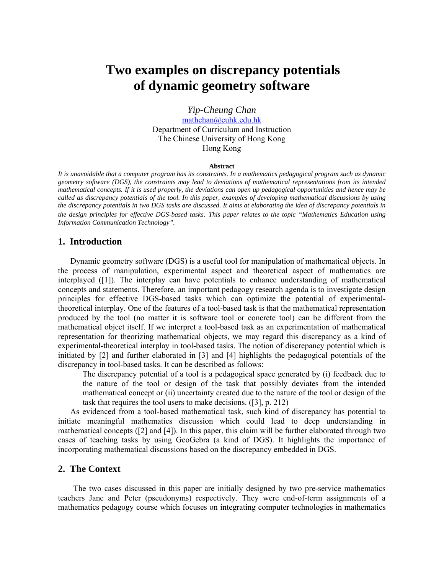# **Two examples on discrepancy potentials of dynamic geometry software**

*Yip-Cheung Chan*  mathchan@cuhk.edu.hk Department of Curriculum and Instruction The Chinese University of Hong Kong Hong Kong

#### **Abstract**

*It is unavoidable that a computer program has its constraints. In a mathematics pedagogical program such as dynamic geometry software (DGS), the constraints may lead to deviations of mathematical representations from its intended mathematical concepts. If it is used properly, the deviations can open up pedagogical opportunities and hence may be called as discrepancy potentials of the tool. In this paper, examples of developing mathematical discussions by using the discrepancy potentials in two DGS tasks are discussed. It aims at elaborating the idea of discrepancy potentials in the design principles for effective DGS-based tasks*. *This paper relates to the topic "Mathematics Education using Information Communication Technology".* 

#### **1. Introduction**

Dynamic geometry software (DGS) is a useful tool for manipulation of mathematical objects. In the process of manipulation, experimental aspect and theoretical aspect of mathematics are interplayed  $([1])$ . The interplay can have potentials to enhance understanding of mathematical concepts and statements. Therefore, an important pedagogy research agenda is to investigate design principles for effective DGS-based tasks which can optimize the potential of experimentaltheoretical interplay. One of the features of a tool-based task is that the mathematical representation produced by the tool (no matter it is software tool or concrete tool) can be different from the mathematical object itself. If we interpret a tool-based task as an experimentation of mathematical representation for theorizing mathematical objects, we may regard this discrepancy as a kind of experimental-theoretical interplay in tool-based tasks. The notion of discrepancy potential which is initiated by [2] and further elaborated in [3] and [4] highlights the pedagogical potentials of the discrepancy in tool-based tasks. It can be described as follows:

The discrepancy potential of a tool is a pedagogical space generated by (i) feedback due to the nature of the tool or design of the task that possibly deviates from the intended mathematical concept or (ii) uncertainty created due to the nature of the tool or design of the task that requires the tool users to make decisions. ([3], p. 212)

As evidenced from a tool-based mathematical task, such kind of discrepancy has potential to initiate meaningful mathematics discussion which could lead to deep understanding in mathematical concepts ([2] and [4]). In this paper, this claim will be further elaborated through two cases of teaching tasks by using GeoGebra (a kind of DGS). It highlights the importance of incorporating mathematical discussions based on the discrepancy embedded in DGS.

#### **2. The Context**

The two cases discussed in this paper are initially designed by two pre-service mathematics teachers Jane and Peter (pseudonyms) respectively. They were end-of-term assignments of a mathematics pedagogy course which focuses on integrating computer technologies in mathematics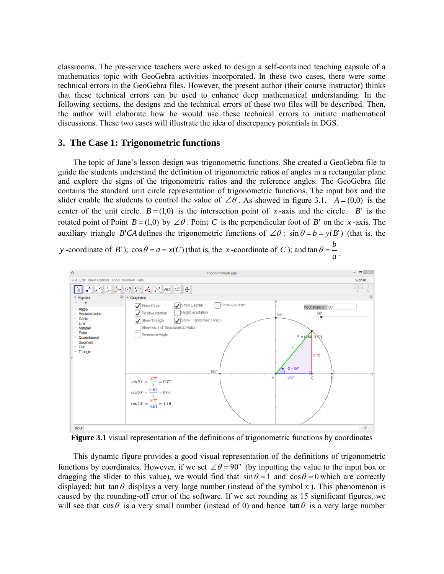classrooms. The pre-service teachers were asked to design a self-contained teaching capsule of a mathematics topic with GeoGebra activities incorporated. In these two cases, there were some technical errors in the GeoGebra files. However, the present author (their course instructor) thinks that these technical errors can be used to enhance deep mathematical understanding. In the following sections, the designs and the technical errors of these two files will be described. Then, the author will elaborate how he would use these technical errors to initiate mathematical discussions. These two cases will illustrate the idea of discrepancy potentials in DGS.

### **3. The Case 1: Trigonometric functions**

The topic of Jane's lesson design was trigonometric functions. She created a GeoGebra file to guide the students understand the definition of trigonometric ratios of angles in a rectangular plane and explore the signs of the trigonometric ratios and the reference angles. The GeoGebra file contains the standard unit circle representation of trigonometric functions. The input box and the slider enable the students to control the value of  $\angle \theta$ . As showed in figure 3.1,  $A = (0,0)$  is the center of the unit circle.  $B = (1,0)$  is the intersection point of *x*-axis and the circle. *B*' is the rotated point of Point  $B = (1,0)$  by  $\angle \theta$ . Point C is the perpendicular foot of B' on the *x*-axis. The auxiliary triangle *B*'*CA* defines the trigonometric functions of  $\angle \theta$ :  $\sin \theta = b = y(B')$  (that is, the

*y* -coordinate of *B*<sup> $\prime$ </sup>);  $\cos \theta = a = x(C)$  (that is, the *x* -coordinate of *C*); and *a*  $\tan \theta = \frac{b}{a}$ .



**Figure 3.1** visual representation of the definitions of trigonometric functions by coordinates

This dynamic figure provides a good visual representation of the definitions of trigonometric functions by coordinates. However, if we set  $\angle \theta = 90^\circ$  (by inputting the value to the input box or dragging the slider to this value), we would find that  $\sin \theta = 1$  and  $\cos \theta = 0$  which are correctly displayed; but tan  $\theta$  displays a very large number (instead of the symbol  $\infty$ ). This phenomenon is caused by the rounding-off error of the software. If we set rounding as 15 significant figures, we will see that  $\cos \theta$  is a very small number (instead of 0) and hence  $\tan \theta$  is a very large number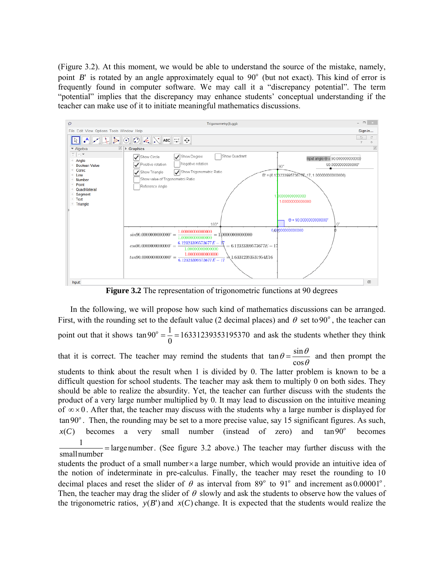(Figure 3.2). At this moment, we would be able to understand the source of the mistake, namely, point *B*' is rotated by an angle approximately equal to  $90^\circ$  (but not exact). This kind of error is frequently found in computer software. We may call it a "discrepancy potential". The term "potential" implies that the discrepancy may enhance students' conceptual understanding if the teacher can make use of it to initiate meaningful mathematics discussions.



**Figure 3.2** The representation of trigonometric functions at 90 degrees

In the following, we will propose how such kind of mathematics discussions can be arranged. First, with the rounding set to the default value (2 decimal places) and  $\theta$  set to 90<sup>°</sup>, the teacher can point out that it shows  $\tan 90^\circ = \frac{1}{2} = 16331239353195370$ 0  $\tan 90^\circ = \frac{1}{6} = 16331239353195370$  and ask the students whether they think that it is correct. The teacher may remind the students that  $\tan \theta = \frac{\sin \theta}{\cos \theta}$ cos  $\tan \theta = \frac{\sin \theta}{\cos \theta}$  and then prompt the students to think about the result when 1 is divided by 0. The latter problem is known to be a difficult question for school students. The teacher may ask them to multiply 0 on both sides. They should be able to realize the absurdity. Yet, the teacher can further discuss with the students the product of a very large number multiplied by 0. It may lead to discussion on the intuitive meaning of  $\infty \times 0$ . After that, the teacher may discuss with the students why a large number is displayed for  $\tan 90^\circ$ . Then, the rounding may be set to a more precise value, say 15 significant figures. As such,  $x(C)$  becomes a very small number (instead of zero) and  $\tan 90^\circ$  becomes  $\frac{1}{1}$  = largenumber. (See figure 3.2 above.) The teacher may further discuss with the smallnumber students the product of a small number $\times$ a large number, which would provide an intuitive idea of the notion of indeterminate in pre-calculus. Finally, the teacher may reset the rounding to 10 decimal places and reset the slider of  $\theta$  as interval from 89<sup>°</sup> to 91<sup>°</sup> and increment as 0.00001<sup>°</sup>. Then, the teacher may drag the slider of  $\theta$  slowly and ask the students to observe how the values of the trigonometric ratios,  $y(B')$  and  $x(C)$  change. It is expected that the students would realize the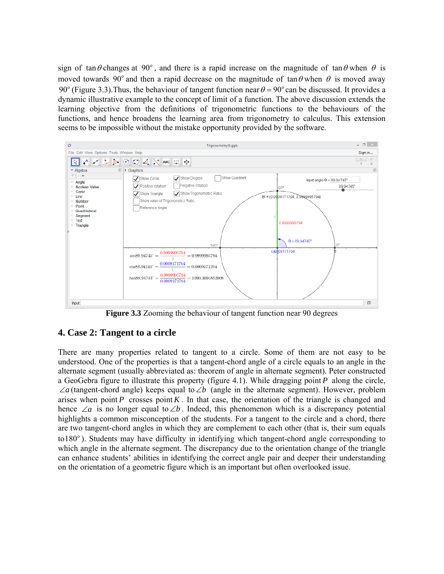sign of tan  $\theta$  changes at 90°, and there is a rapid increase on the magnitude of tan  $\theta$  when  $\theta$  is moved towards 90<sup>°</sup> and then a rapid decrease on the magnitude of tan  $\theta$  when  $\theta$  is moved away 90<sup>°</sup> (Figure 3.3). Thus, the behaviour of tangent function near  $\theta = 90^\circ$  can be discussed. It provides a dynamic illustrative example to the concept of limit of a function. The above discussion extends the learning objective from the definitions of trigonometric functions to the behaviours of the functions, and hence broadens the learning area from trigonometry to calculus. This extension seems to be impossible without the mistake opportunity provided by the software.



**Figure 3.3** Zooming the behaviour of tangent function near 90 degrees

## **4. Case 2: Tangent to a circle**

There are many properties related to tangent to a circle. Some of them are not easy to be understood. One of the properties is that a tangent-chord angle of a circle equals to an angle in the alternate segment (usually abbreviated as: theorem of angle in alternate segment). Peter constructed a GeoGebra figure to illustrate this property (figure 4.1). While dragging point *P* along the circle,  $\angle a$  (tangent-chord angle) keeps equal to  $\angle b$  (angle in the alternate segment). However, problem arises when point *P* crosses point *K*. In that case, the orientation of the triangle is changed and hence  $\angle a$  is no longer equal to  $\angle b$ . Indeed, this phenomenon which is a discrepancy potential highlights a common misconception of the students. For a tangent to the circle and a chord, there are two tangent-chord angles in which they are complement to each other (that is, their sum equals to 180<sup>°</sup>). Students may have difficulty in identifying which tangent-chord angle corresponding to which angle in the alternate segment. The discrepancy due to the orientation change of the triangle can enhance students' abilities in identifying the correct angle pair and deeper their understanding on the orientation of a geometric figure which is an important but often overlooked issue.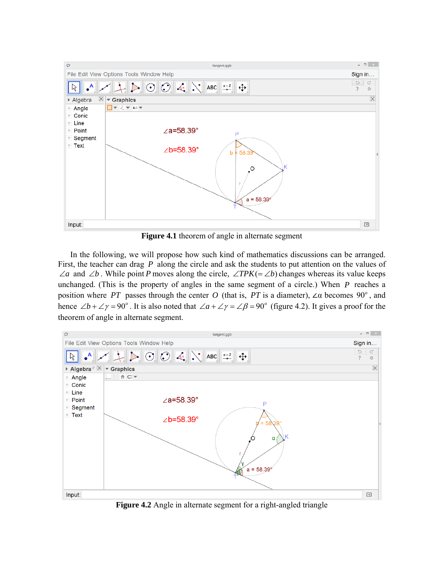

**Figure 4.1** theorem of angle in alternate segment

In the following, we will propose how such kind of mathematics discussions can be arranged. First, the teacher can drag *P* along the circle and ask the students to put attention on the values of  $\angle a$  and  $\angle b$ . While point *P* moves along the circle,  $\angle TPK(=\angle b)$  changes whereas its value keeps unchanged. (This is the property of angles in the same segment of a circle.) When *P* reaches a position where *PT* passes through the center *O* (that is, *PT* is a diameter), ∠α becomes 90<sup>°</sup>, and hence  $\angle b + \angle \gamma = 90^\circ$ . It is also noted that  $\angle a + \angle \gamma = \angle \beta = 90^\circ$  (figure 4.2). It gives a proof for the theorem of angle in alternate segment.



**Figure 4.2** Angle in alternate segment for a right-angled triangle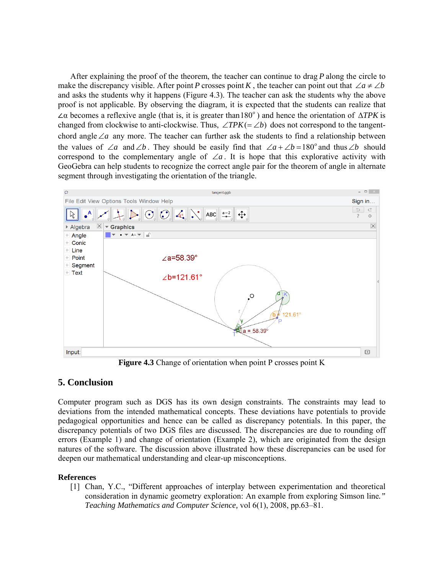After explaining the proof of the theorem, the teacher can continue to drag *P* along the circle to make the discrepancy visible. After point *P* crosses point *K*, the teacher can point out that  $\angle a \neq \angle b$ and asks the students why it happens (Figure 4.3). The teacher can ask the students why the above proof is not applicable. By observing the diagram, it is expected that the students can realize that  $\angle$ α becomes a reflexive angle (that is, it is greater than 180<sup>o</sup>) and hence the orientation of  $\triangle$ *TPK* is changed from clockwise to anti-clockwise. Thus,  $\angle TPK(=\angle b)$  does not correspond to the tangentchord angle  $\angle a$  any more. The teacher can further ask the students to find a relationship between the values of  $\angle a$  and  $\angle b$ . They should be easily find that  $\angle a + \angle b = 180^\circ$  and thus  $\angle b$  should correspond to the complementary angle of  $\angle a$ . It is hope that this explorative activity with GeoGebra can help students to recognize the correct angle pair for the theorem of angle in alternate segment through investigating the orientation of the triangle.



**Figure 4.3** Change of orientation when point P crosses point K

## **5. Conclusion**

Computer program such as DGS has its own design constraints. The constraints may lead to deviations from the intended mathematical concepts. These deviations have potentials to provide pedagogical opportunities and hence can be called as discrepancy potentials. In this paper, the discrepancy potentials of two DGS files are discussed. The discrepancies are due to rounding off errors (Example 1) and change of orientation (Example 2), which are originated from the design natures of the software. The discussion above illustrated how these discrepancies can be used for deepen our mathematical understanding and clear-up misconceptions.

## **References**

[1] Chan, Y.C., "Different approaches of interplay between experimentation and theoretical consideration in dynamic geometry exploration: An example from exploring Simson line*." Teaching Mathematics and Computer Science,* vol 6(1), 2008, pp.63–81.